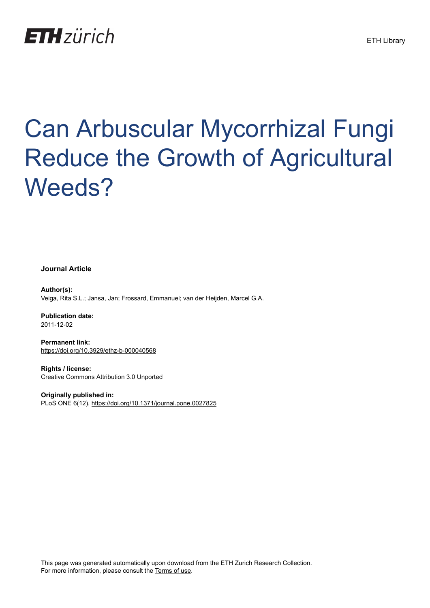

# Can Arbuscular Mycorrhizal Fungi Reduce the Growth of Agricultural Weeds?

**Journal Article**

**Author(s):** Veiga, Rita S.L.; Jansa, Jan; Frossard, Emmanuel; van der Heijden, Marcel G.A.

**Publication date:** 2011-12-02

**Permanent link:** <https://doi.org/10.3929/ethz-b-000040568>

**Rights / license:** [Creative Commons Attribution 3.0 Unported](http://creativecommons.org/licenses/by/3.0/)

**Originally published in:** PLoS ONE 6(12), <https://doi.org/10.1371/journal.pone.0027825>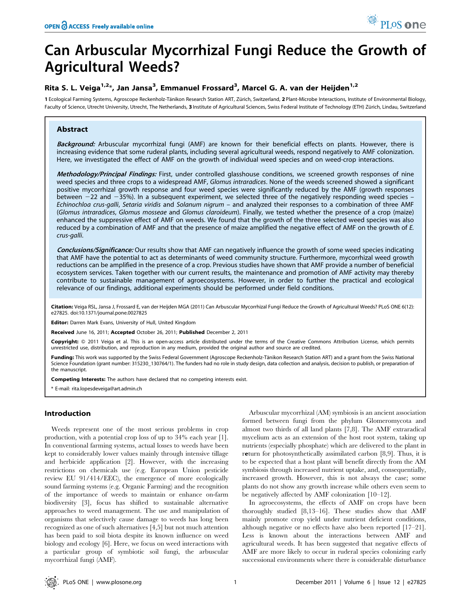# Can Arbuscular Mycorrhizal Fungi Reduce the Growth of Agricultural Weeds?

## Rita S. L. Veiga<sup>1,2</sup>\*, Jan Jansa<sup>3</sup>, Emmanuel Frossard<sup>3</sup>, Marcel G. A. van der Heijden<sup>1,2</sup>

1 Ecological Farming Systems, Agroscope Reckenholz-Tänikon Research Station ART, Zürich, Switzerland, 2 Plant-Microbe Interactions, Institute of Environmental Biology, Faculty of Science, Utrecht University, Utrecht, The Netherlands, 3 Institute of Agricultural Sciences, Swiss Federal Institute of Technology (ETH) Zürich, Lindau, Switzerland

### Abstract

Background: Arbuscular mycorrhizal fungi (AMF) are known for their beneficial effects on plants. However, there is increasing evidence that some ruderal plants, including several agricultural weeds, respond negatively to AMF colonization. Here, we investigated the effect of AMF on the growth of individual weed species and on weed-crop interactions.

Methodology/Principal Findings: First, under controlled glasshouse conditions, we screened growth responses of nine weed species and three crops to a widespread AMF, Glomus intraradices. None of the weeds screened showed a significant positive mycorrhizal growth response and four weed species were significantly reduced by the AMF (growth responses between  $-22$  and  $-35%$ ). In a subsequent experiment, we selected three of the negatively responding weed species -Echinochloa crus-galli, Setaria viridis and Solanum nigrum – and analyzed their responses to a combination of three AMF (Glomus intraradices, Glomus mosseae and Glomus claroideum). Finally, we tested whether the presence of a crop (maize) enhanced the suppressive effect of AMF on weeds. We found that the growth of the three selected weed species was also reduced by a combination of AMF and that the presence of maize amplified the negative effect of AMF on the growth of E. crus-galli.

Conclusions/Significance: Our results show that AMF can negatively influence the growth of some weed species indicating that AMF have the potential to act as determinants of weed community structure. Furthermore, mycorrhizal weed growth reductions can be amplified in the presence of a crop. Previous studies have shown that AMF provide a number of beneficial ecosystem services. Taken together with our current results, the maintenance and promotion of AMF activity may thereby contribute to sustainable management of agroecosystems. However, in order to further the practical and ecological relevance of our findings, additional experiments should be performed under field conditions.

Citation: Veiga RSL, Jansa J, Frossard E, van der Heijden MGA (2011) Can Arbuscular Mycorrhizal Fungi Reduce the Growth of Agricultural Weeds? PLoS ONE 6(12): e27825. doi:10.1371/journal.pone.0027825

**Editor:** Darren Mark Evans, University of Hull, United Kingdom

Received June 16, 2011; Accepted October 26, 2011; Published December 2, 2011

Copyright: © 2011 Veiga et al. This is an open-access article distributed under the terms of the Creative Commons Attribution License, which permits unrestricted use, distribution, and reproduction in any medium, provided the original author and source are credited.

Funding: This work was supported by the Swiss Federal Government (Agroscope Reckenholz-Tänikon Research Station ART) and a grant from the Swiss National Science Foundation (grant number: 315230\_130764/1). The funders had no role in study design, data collection and analysis, decision to publish, or preparation of the manuscript.

Competing Interests: The authors have declared that no competing interests exist.

\* E-mail: rita.lopesdeveiga@art.admin.ch

#### Introduction

Weeds represent one of the most serious problems in crop production, with a potential crop loss of up to 34% each year [1]. In conventional farming systems, actual losses to weeds have been kept to considerably lower values mainly through intensive tillage and herbicide application [2]. However, with the increasing restrictions on chemicals use (e.g. European Union pesticide review EU 91/414/EEC), the emergence of more ecologically sound farming systems (e.g. Organic Farming) and the recognition of the importance of weeds to maintain or enhance on-farm biodiversity [3], focus has shifted to sustainable alternative approaches to weed management. The use and manipulation of organisms that selectively cause damage to weeds has long been recognized as one of such alternatives [4,5] but not much attention has been paid to soil biota despite its known influence on weed biology and ecology [6]. Here, we focus on weed interactions with a particular group of symbiotic soil fungi, the arbuscular mycorrhizal fungi (AMF).

Arbuscular mycorrhizal (AM) symbiosis is an ancient association formed between fungi from the phylum Glomeromycota and almost two thirds of all land plants [7,8]. The AMF extraradical mycelium acts as an extension of the host root system, taking up nutrients (especially phosphate) which are delivered to the plant in return for photosynthetically assimilated carbon [8,9]. Thus, it is to be expected that a host plant will benefit directly from the AM symbiosis through increased nutrient uptake, and, consequentially, increased growth. However, this is not always the case; some plants do not show any growth increase while others even seem to be negatively affected by AMF colonization [10–12].

In agroecosystems, the effects of AMF on crops have been thoroughly studied [8,13–16]. These studies show that AMF mainly promote crop yield under nutrient deficient conditions, although negative or no effects have also been reported [17–21]. Less is known about the interactions between AMF and agricultural weeds. It has been suggested that negative effects of AMF are more likely to occur in ruderal species colonizing early successional environments where there is considerable disturbance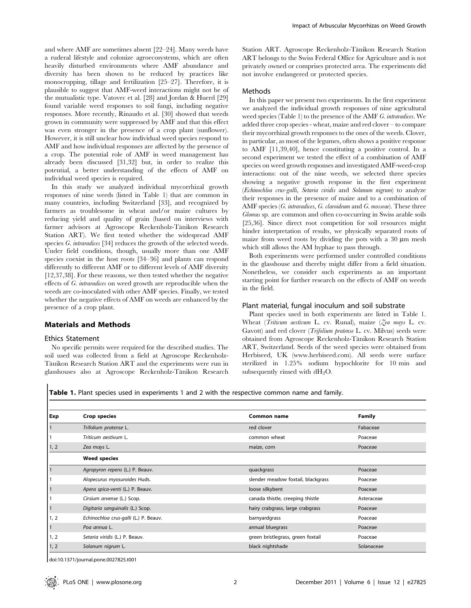and where AMF are sometimes absent [22–24]. Many weeds have a ruderal lifestyle and colonize agroecosystems, which are often heavily disturbed environments where AMF abundance and diversity has been shown to be reduced by practices like monocropping, tillage and fertilization [25–27]. Therefore, it is plausible to suggest that AMF-weed interactions might not be of the mutualistic type. Vatovec et al. [28] and Jordan & Huerd [29] found variable weed responses to soil fungi, including negative responses. More recently, Rinaudo et al. [30] showed that weeds grown in community were suppressed by AMF and that this effect was even stronger in the presence of a crop plant (sunflower). However, it is still unclear how individual weed species respond to AMF and how individual responses are affected by the presence of a crop. The potential role of AMF in weed management has already been discussed [31,32] but, in order to realize this potential, a better understanding of the effects of AMF on individual weed species is required.

In this study we analyzed individual mycorrhizal growth responses of nine weeds (listed in Table 1) that are common in many countries, including Switzerland [33], and recognized by farmers as troublesome in wheat and/or maize cultures by reducing yield and quality of grain (based on interviews with farmer advisors at Agroscope Reckenholz-Tänikon Research Station ART). We first tested whether the widespread AMF species G. intraradices [34] reduces the growth of the selected weeds. Under field conditions, though, usually more than one AMF species coexist in the host roots [34–36] and plants can respond differently to different AMF or to different levels of AMF diversity [12,37,38]. For these reasons, we then tested whether the negative effects of G. intraradices on weed growth are reproducible when the weeds are co-inoculated with other AMF species. Finally, we tested whether the negative effects of AMF on weeds are enhanced by the presence of a crop plant.

#### Materials and Methods

#### Ethics Statement

No specific permits were required for the described studies. The soil used was collected from a field at Agroscope Reckenholz-Tänikon Research Station ART and the experiments were run in glasshouses also at Agroscope Reckenholz-Tänikon Research Station ART. Agroscope Reckenholz-Tänikon Research Station ART belongs to the Swiss Federal Office for Agriculture and is not privately owned or comprises protected area. The experiments did not involve endangered or protected species.

#### Methods

In this paper we present two experiments. In the first experiment we analyzed the individual growth responses of nine agricultural weed species (Table 1) to the presence of the AMF G. intraradices. We added three crop species - wheat, maize and red clover – to compare their mycorrhizal growth responses to the ones of the weeds. Clover, in particular, as most of the legumes, often shows a positive response to AMF [11,39,40], hence constituting a positive control. In a second experiment we tested the effect of a combination of AMF species on weed growth responses and investigated AMF-weed-crop interactions: out of the nine weeds, we selected three species showing a negative growth response in the first experiment (Echinochloa crus-galli, Setaria viridis and Solanum nigrum) to analyze their responses in the presence of maize and to a combination of AMF species (G. intraradices, G. claroideum and G. mosseae). These three Glomus sp. are common and often co-occurring in Swiss arable soils [25,36]. Since direct root competition for soil resources might hinder interpretation of results, we physically separated roots of maize from weed roots by dividing the pots with a  $30 \mu m$  mesh which still allows the AM hyphae to pass through.

Both experiments were performed under controlled conditions in the glasshouse and thereby might differ from a field situation. Nonetheless, we consider such experiments as an important starting point for further research on the effects of AMF on weeds in the field.

#### Plant material, fungal inoculum and soil substrate

Plant species used in both experiments are listed in Table 1. Wheat (Triticum aestivum L. cv. Runal), maize (Zea mays L. cv. Gavott) and red clover (Trifolium pratense L. cv. Milvus) seeds were obtained from Agroscope Reckenholz-Tänikon Research Station ART, Switzerland. Seeds of the weed species were obtained from Herbiseed, UK (www.herbiseed.com). All seeds were surface sterilized in 1.25% sodium hypochlorite for 10 min and subsequently rinsed with  $dH_2O$ .

Table 1. Plant species used in experiments 1 and 2 with the respective common name and family.

| Exp  | <b>Crop species</b>                   | Common name                        | <b>Family</b> |
|------|---------------------------------------|------------------------------------|---------------|
|      | Trifolium pratense L.                 | red clover                         | Fabaceae      |
|      | Triticum aestivum L.                  | common wheat                       | Poaceae       |
| 1, 2 | Zea mays L.                           | maize, corn                        | Poaceae       |
|      | <b>Weed species</b>                   |                                    |               |
|      | Agropyron repens (L.) P. Beauv.       | quackgrass                         | Poaceae       |
|      | Alopecurus myosuroides Huds.          | slender meadow foxtail, blackgrass | Poaceae       |
|      | Apera spica-venti (L.) P. Beauv.      | loose silkybent                    | Poaceae       |
|      | Cirsium arvense (L.) Scop.            | canada thistle, creeping thistle   | Asteraceae    |
|      | Digitaria sanguinalis (L.) Scop.      | hairy crabgrass, large crabgrass   | Poaceae       |
| 1, 2 | Echinochloa crus-galli (L.) P. Beauv. | barnyardgrass                      | Poaceae       |
|      | Pog annua L.                          | annual bluegrass                   | Poaceae       |
| 1, 2 | Setaria viridis (L.) P. Beauv.        | green bristlegrass, green foxtail  | Poaceae       |
| 1, 2 | Solanum nigrum L.                     | black nightshade                   | Solanaceae    |

doi:10.1371/journal.pone.0027825.t001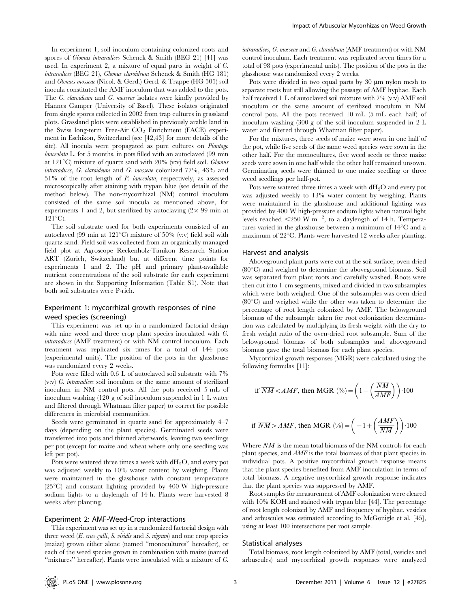In experiment 1, soil inoculum containing colonized roots and spores of *Glomus intraradices* Schenck & Smith (BEG 21) [41] was used. In experiment 2, a mixture of equal parts in weight of G. intraradices (BEG 21), Glomus claroideum Schenck & Smith (HG 181) and Glomus mosseae (Nicol. & Gerd.) Gerd. & Trappe (HG 505) soil inocula constituted the AMF inoculum that was added to the pots. The G. claroideum and G. mosseae isolates were kindly provided by Hannes Gamper (University of Basel). These isolates originated from single spores collected in 2002 from trap cultures in grassland plots. Grassland plots were established in previously arable land in the Swiss long-term Free-Air  $CO<sub>2</sub>$  Enrichment (FACE) experiment in Eschikon, Switzerland (see [42,43] for more details of the site). All inocula were propagated as pure cultures on Plantago lanceolata L. for 5 months, in pots filled with an autoclaved (99 min at  $121^{\circ}$ C) mixture of quartz sand with  $20\%$  (v:v) field soil. *Glomus* intraradices, G. claroideum and G. mosseae colonized 77%, 43% and 51% of the root length of P. lanceolata, respectively, as assessed microscopically after staining with trypan blue (see details of the method below). The non-mycorrhizal (NM) control inoculum consisted of the same soil inocula as mentioned above, for experiments 1 and 2, but sterilized by autoclaving  $(2 \times 99 \text{ min at}$  $121^{\circ}C$ ).

The soil substrate used for both experiments consisted of an autoclaved (99 min at  $121^{\circ}$ C) mixture of 50% (v:v) field soil with quartz sand. Field soil was collected from an organically managed field plot at Agroscope Reckenholz-Tänikon Research Station ART (Zurich, Switzerland) but at different time points for experiments 1 and 2. The pH and primary plant-available nutrient concentrations of the soil substrate for each experiment are shown in the Supporting Information (Table S1). Note that both soil substrates were P-rich.

#### Experiment 1: mycorrhizal growth responses of nine weed species (screening)

This experiment was set up in a randomized factorial design with nine weed and three crop plant species inoculated with G. intraradices (AMF treatment) or with NM control inoculum. Each treatment was replicated six times for a total of 144 pots (experimental units). The position of the pots in the glasshouse was randomized every 2 weeks.

Pots were filled with 0.6 L of autoclaved soil substrate with 7% (v:v) G. intraradices soil inoculum or the same amount of sterilized inoculum in NM control pots. All the pots received 5 mL of inoculum washing (120 g of soil inoculum suspended in 1 L water and filtered through Whatman filter paper) to correct for possible differences in microbial communities.

Seeds were germinated in quartz sand for approximately 4–7 days (depending on the plant species). Germinated seeds were transferred into pots and thinned afterwards, leaving two seedlings per pot (except for maize and wheat where only one seedling was left per pot).

Pots were watered three times a week with  $dH_2O$ , and every pot was adjusted weekly to 10% water content by weighing. Plants were maintained in the glasshouse with constant temperature  $(25^{\circ}C)$  and constant lighting provided by 400 W high-pressure sodium lights to a daylength of 14 h. Plants were harvested 8 weeks after planting.

#### Experiment 2: AMF-Weed-Crop interactions

This experiment was set up in a randomized factorial design with three weed  $(E. \text{ crust-galli}, S. \text{ virdis}$  and  $S. \text{ nigrum}$  and one crop species (maize) grown either alone (named ''monocultures'' hereafter), or each of the weed species grown in combination with maize (named ''mixtures'' hereafter). Plants were inoculated with a mixture of G.

intraradices, G. mosseae and G. claroideum (AMF treatment) or with NM control inoculum. Each treatment was replicated seven times for a total of 98 pots (experimental units). The position of the pots in the glasshouse was randomized every 2 weeks.

Pots were divided in two equal parts by  $30 \mu m$  nylon mesh to separate roots but still allowing the passage of AMF hyphae. Each half received 1 L of autoclaved soil mixture with 7% (v:v) AMF soil inoculum or the same amount of sterilized inoculum in NM control pots. All the pots received 10 mL (5 mL each half) of inoculum washing (300 g of the soil inoculum suspended in 2 L water and filtered through Whatman filter paper).

For the mixtures, three seeds of maize were sown in one half of the pot, while five seeds of the same weed species were sown in the other half. For the monocultures, five weed seeds or three maize seeds were sown in one half while the other half remained unsown. Germinating seeds were thinned to one maize seedling or three weed seedlings per half-pot.

Pots were watered three times a week with  $dH_2O$  and every pot was adjusted weekly to 13% water content by weighing. Plants were maintained in the glasshouse and additional lighting was provided by 400 W high-pressure sodium lights when natural light levels reached  $\leq$  250 W m<sup>-2</sup>, to a daylength of 14 h. Temperatures varied in the glasshouse between a minimum of  $14^{\circ}$ C and a maximum of  $22^{\circ}$ C. Plants were harvested 12 weeks after planting.

#### Harvest and analysis

Aboveground plant parts were cut at the soil surface, oven dried  $(80^{\circ}C)$  and weighed to determine the aboveground biomass. Soil was separated from plant roots and carefully washed. Roots were then cut into 1 cm segments, mixed and divided in two subsamples which were both weighed. One of the subsamples was oven dried  $(80^{\circ}C)$  and weighed while the other was taken to determine the percentage of root length colonized by AMF. The belowground biomass of the subsample taken for root colonization determination was calculated by multiplying its fresh weight with the dry to fresh weight ratio of the oven-dried root subsample. Sum of the belowground biomass of both subsamples and aboveground biomass gave the total biomass for each plant species.

Mycorrhizal growth responses (MGR) were calculated using the following formulas [11]:

if 
$$
\overline{NM} < AMF
$$
, then MGR ( $\degree$ ) =  $\left(1 - \left(\frac{\overline{NM}}{AMF}\right)\right) \cdot 100$ 

if 
$$
\overline{NM} > AMF
$$
, then MGR ( $\degree$ ) =  $\left(-1 + \left(\frac{AMF}{\overline{NM}}\right)\right) \cdot 100$ 

Where  $\overline{NM}$  is the mean total biomass of the NM controls for each plant species, and AMF is the total biomass of that plant species in individual pots. A positive mycorrhizal growth response means that the plant species benefited from AMF inoculation in terms of total biomass. A negative mycorrhizal growth response indicates that the plant species was suppressed by AMF.

Root samples for measurement of AMF colonization were cleared with 10% KOH and stained with trypan blue [44]. The percentage of root length colonized by AMF and frequency of hyphae, vesicles and arbuscules was estimated according to McGonigle et al. [45], using at least 100 intersections per root sample.

#### Statistical analyses

Total biomass, root length colonized by AMF (total, vesicles and arbuscules) and mycorrhizal growth responses were analyzed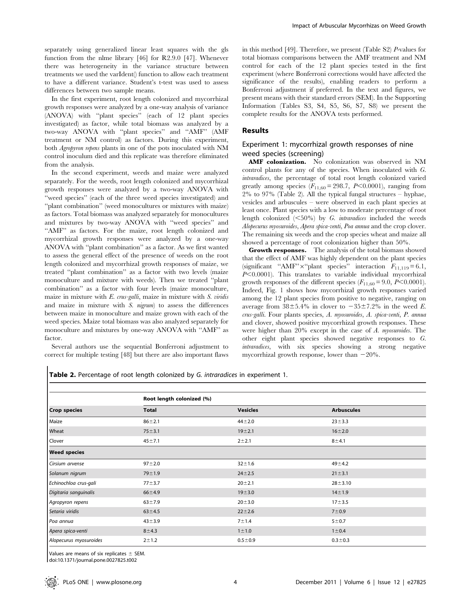separately using generalized linear least squares with the gls function from the nlme library [46] for R2.9.0 [47]. Whenever there was heterogeneity in the variance structure between treatments we used the varIdent() function to allow each treatment to have a different variance. Student's t-test was used to assess differences between two sample means.

In the first experiment, root length colonized and mycorrhizal growth responses were analyzed by a one-way analysis of variance (ANOVA) with ''plant species'' (each of 12 plant species investigated) as factor, while total biomass was analyzed by a two-way ANOVA with ''plant species'' and ''AMF'' (AMF treatment or NM control) as factors. During this experiment, both Agropyron repens plants in one of the pots inoculated with NM control inoculum died and this replicate was therefore eliminated from the analysis.

In the second experiment, weeds and maize were analyzed separately. For the weeds, root length colonized and mycorrhizal growth responses were analyzed by a two-way ANOVA with ''weed species'' (each of the three weed species investigated) and ''plant combination'' (weed monocultures or mixtures with maize) as factors. Total biomass was analyzed separately for monocultures and mixtures by two-way ANOVA with ''weed species'' and "AMF" as factors. For the maize, root length colonized and mycorrhizal growth responses were analyzed by a one-way ANOVA with ''plant combination'' as a factor. As we first wanted to assess the general effect of the presence of weeds on the root length colonized and mycorrhizal growth responses of maize, we treated ''plant combination'' as a factor with two levels (maize monoculture and mixture with weeds). Then we treated ''plant combination'' as a factor with four levels (maize monoculture, maize in mixture with  $E$ . crus-galli, maize in mixture with  $S$ . viridis and maize in mixture with S. nigrum) to assess the differences between maize in monoculture and maize grown with each of the weed species. Maize total biomass was also analyzed separately for monoculture and mixtures by one-way ANOVA with ''AMF'' as factor.

Several authors use the sequential Bonferroni adjustment to correct for multiple testing [48] but there are also important flaws in this method [49]. Therefore, we present (Table S2) P-values for total biomass comparisons between the AMF treatment and NM control for each of the 12 plant species tested in the first experiment (where Bonferroni corrections would have affected the significance of the results), enabling readers to perform a Bonferroni adjustment if preferred. In the text and figures, we present means with their standard errors (SEM). In the Supporting Information (Tables S3, S4, S5, S6, S7, S8) we present the complete results for the ANOVA tests performed.

#### Results

#### Experiment 1: mycorrhizal growth responses of nine weed species (screening)

AMF colonization. No colonization was observed in NM control plants for any of the species. When inoculated with G. intraradices, the percentage of total root length colonized varied greatly among species  $(F_{11,60} = 298.7, P<0.0001)$ , ranging from 2% to 97% (Table 2). All the typical fungal structures – hyphae, vesicles and arbuscules – were observed in each plant species at least once. Plant species with a low to moderate percentage of root length colonized  $(50\%)$  by G. intraradices included the weeds Alopecurus myosuroides, Apera spica-venti, Poa annua and the crop clover. The remaining six weeds and the crop species wheat and maize all showed a percentage of root colonization higher than 50%.

Growth responses. The analysis of the total biomass showed that the effect of AMF was highly dependent on the plant species (significant "AMF" $\times$ "plant species" interaction  $F_{11,119} = 6.1$ ,  $P<0.0001$ ). This translates to variable individual mycorrhizal growth responses of the different species  $(F_{11,60} = 9.0, P \le 0.0001)$ . Indeed, Fig. 1 shows how mycorrhizal growth responses varied among the 12 plant species from positive to negative, ranging on average from  $38\pm5.4\%$  in clover to  $-35\pm7.2\%$  in the weed E. crus-galli. Four plants species, A. myosuroides, A. spica-venti, P. annua and clover, showed positive mycorrhizal growth responses. These were higher than 20% except in the case of A. myosuroides. The other eight plant species showed negative responses to G. intraradices, with six species showing a strong negative mycorrhizal growth response, lower than  $-20\%$ .

Table 2. Percentage of root length colonized by G. intraradices in experiment 1.

|                        | Root length colonized (%) |                 |                   |  |  |
|------------------------|---------------------------|-----------------|-------------------|--|--|
| <b>Crop species</b>    | <b>Total</b>              | <b>Vesicles</b> | <b>Arbuscules</b> |  |  |
| Maize                  | $86 + 2.1$                | $44 + 2.0$      | $23 + 3.3$        |  |  |
| Wheat                  | $75 + 3.1$                | $19 + 2.1$      | $16 + 2.0$        |  |  |
| Clover                 | $45 + 7.1$                | $2 + 2.1$       | $8 + 4.1$         |  |  |
| <b>Weed species</b>    |                           |                 |                   |  |  |
| Cirsium arvense        | $97 + 2.0$                | $32 + 1.6$      | $49 + 4.2$        |  |  |
| Solanum nigrum         | $79 + 1.9$                | $24 + 2.5$      | $21 \pm 3.1$      |  |  |
| Echinochloa crus-gali  | $77 + 3.7$                | $20 + 2.1$      | $28 + 3.10$       |  |  |
| Digitaria sanguinalis  | $66 + 4.9$                | $19 + 3.0$      | $14 + 1.9$        |  |  |
| Agropyron repens       | $63 + 7.9$                | $20 + 3.0$      | $17 + 3.5$        |  |  |
| Setaria viridis        | $63 + 4.5$                | $22 \pm 2.6$    | $7 + 0.9$         |  |  |
| Poa annua              | $43 + 3.9$                | $7 + 1.4$       | $5 + 0.7$         |  |  |
| Apera spica-venti      | $8 + 4.3$                 | $1 \pm 1.0$     | $1 \pm 0.4$       |  |  |
| Alopecurus myosuroides | $2 + 1.2$                 | $0.5 + 0.9$     | $0.3 + 0.3$       |  |  |

Values are means of six replicates  $\pm$  SEM.

doi:10.1371/journal.pone.0027825.t002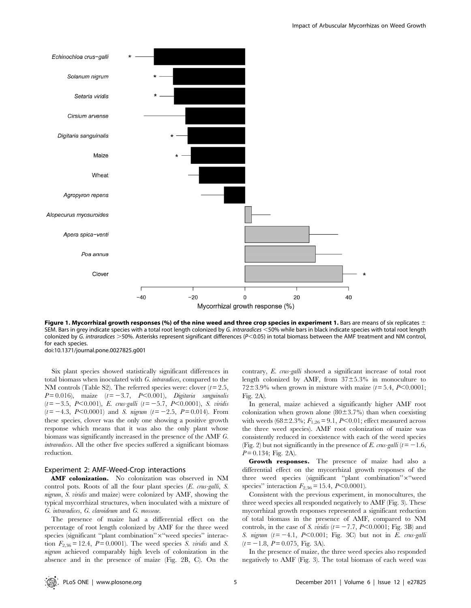

Figure 1. Mycorrhizal growth responses (%) of the nine weed and three crop species in experiment 1. Bars are means of six replicates  $\pm$ SEM. Bars in grey indicate species with a total root length colonized by G. intraradices <50% while bars in black indicate species with total root length colonized by G. intraradices >50%. Asterisks represent significant differences ( $P<0.05$ ) in total biomass between the AMF treatment and NM control, for each species.

doi:10.1371/journal.pone.0027825.g001

Six plant species showed statistically significant differences in total biomass when inoculated with G. intraradices, compared to the NM controls (Table S2). The referred species were: clover  $(t=2.5,$  $P = 0.016$ , maize  $(t = -3.7, P < 0.001)$ , Digitaria sanguinalis  $(t=-3.5, P<0.001)$ , E. crus-galli  $(t=-5.7, P<0.0001)$ , S. viridis  $(t = -4.3, P<0.0001)$  and S. nigrum  $(t = -2.5, P = 0.014)$ . From these species, clover was the only one showing a positive growth response which means that it was also the only plant whose biomass was significantly increased in the presence of the AMF G. intraradices. All the other five species suffered a significant biomass reduction.

#### Experiment 2: AMF-Weed-Crop interactions

AMF colonization. No colonization was observed in NM control pots. Roots of all the four plant species (E. crus-galli, S. nigrum, S. viridis and maize) were colonized by AMF, showing the typical mycorrhizal structures, when inoculated with a mixture of G. intraradices, G. claroideum and G. mosseae.

The presence of maize had a differential effect on the percentage of root length colonized by AMF for the three weed species (significant "plant combination"×"weed species" interaction  $F_{2,36} = 12.4$ ,  $P = 0.0001$ ). The weed species S. viridis and S. nigrum achieved comparably high levels of colonization in the absence and in the presence of maize (Fig. 2B, C). On the contrary, E. crus-galli showed a significant increase of total root length colonized by AMF, from  $37\pm5.3\%$  in monoculture to 72 $\pm$ 3.9% when grown in mixture with maize ( $t$ = 5.4, P<0.0001; Fig. 2A).

In general, maize achieved a significantly higher AMF root colonization when grown alone  $(80\pm3.7\%)$  than when coexisting with weeds (68±2.3%;  $F_{1,26} = 9.1$ , P<0.01; effect measured across the three weed species). AMF root colonization of maize was consistently reduced in coexistence with each of the weed species (Fig. 2) but not significantly in the presence of E. crus-galli ( $t=-1.6$ ,  $P = 0.134$ ; Fig. 2A).

Growth responses. The presence of maize had also a differential effect on the mycorrhizal growth responses of the three weed species (significant "plant combination"×"weed species'' interaction  $F_{2,36} = 15.4$ ,  $P<0.0001$ ).

Consistent with the previous experiment, in monocultures, the three weed species all responded negatively to AMF (Fig. 3). These mycorrhizal growth responses represented a significant reduction of total biomass in the presence of AMF, compared to NM controls, in the case of S. viridis ( $t = -7.7$ ,  $P < 0.0001$ ; Fig. 3B) and S. nigrum  $(t=-4.1, P<0.001;$  Fig. 3C) but not in E. crus-galli  $(t=-1.8, P = 0.075,$  Fig. 3A).

In the presence of maize, the three weed species also responded negatively to AMF (Fig. 3). The total biomass of each weed was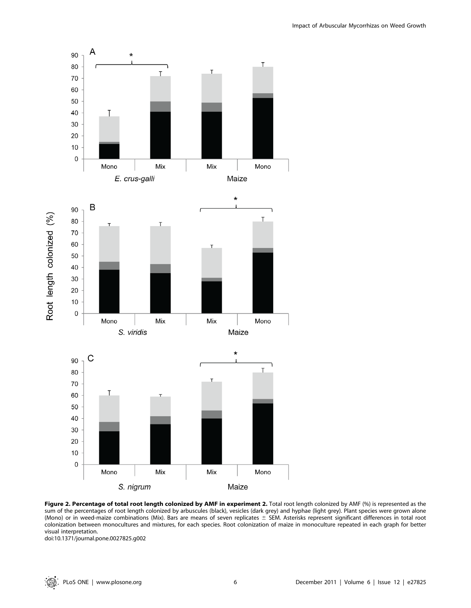

Figure 2. Percentage of total root length colonized by AMF in experiment 2. Total root length colonized by AMF (%) is represented as the sum of the percentages of root length colonized by arbuscules (black), vesicles (dark grey) and hyphae (light grey). Plant species were grown alone (Mono) or in weed-maize combinations (Mix). Bars are means of seven replicates  $\pm$  SEM. Asterisks represent significant differences in total root colonization between monocultures and mixtures, for each species. Root colonization of maize in monoculture repeated in each graph for better visual interpretation.

doi:10.1371/journal.pone.0027825.g002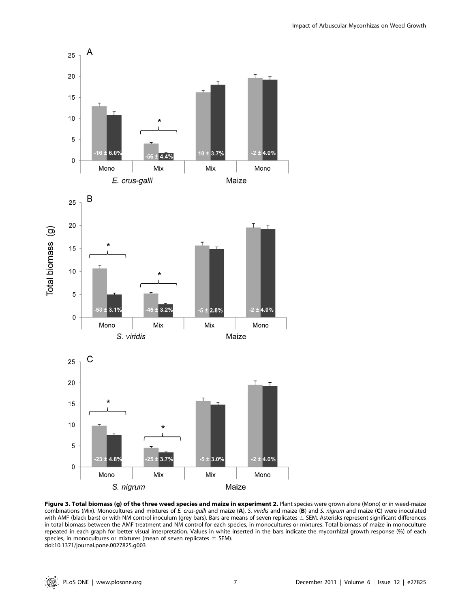

Figure 3. Total biomass (g) of the three weed species and maize in experiment 2. Plant species were grown alone (Mono) or in weed-maize combinations (Mix). Monocultures and mixtures of E. crus-galli and maize (A), S. viridis and maize (B) and S. nigrum and maize (C) were inoculated with AMF (black bars) or with NM control inoculum (grey bars). Bars are means of seven replicates  $\pm$  SEM. Asterisks represent significant differences in total biomass between the AMF treatment and NM control for each species, in monocultures or mixtures. Total biomass of maize in monoculture repeated in each graph for better visual interpretation. Values in white inserted in the bars indicate the mycorrhizal growth response (%) of each species, in monocultures or mixtures (mean of seven replicates  $\pm$  SEM). doi:10.1371/journal.pone.0027825.g003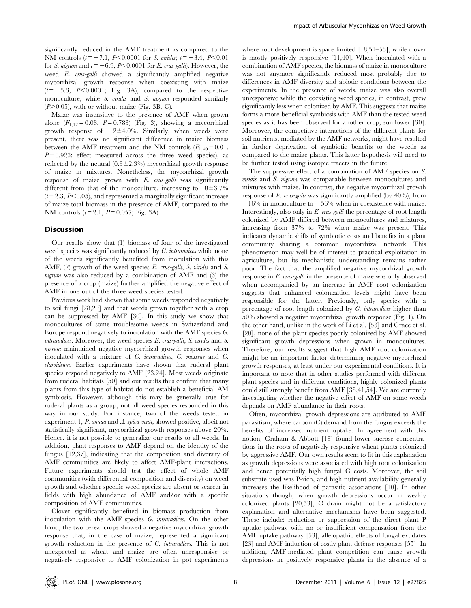significantly reduced in the AMF treatment as compared to the NM controls  $(t = -7.1, P<0.0001$  for S. viridis;  $t = -3.4, P<0.01$ for S. nigrum and  $t = -6.9$ , P<0.0001 for E. crus-galli). However, the weed E. crus-galli showed a significantly amplified negative mycorrhizal growth response when coexisting with maize  $(t=-5.3, P<0.0001;$  Fig. 3A), compared to the respective monoculture, while S. viridis and S. nigrum responded similarly  $(P>0.05)$ , with or without maize (Fig. 3B, C).

Maize was insensitive to the presence of AMF when grown alone  $(F_{1,12}= 0.08, P = 0.783)$  (Fig. 3), showing a mycorrhizal growth response of  $-2\pm 4.0\%$ . Similarly, when weeds were present, there was no significant difference in maize biomass between the AMF treatment and the NM controls  $(F_{1,40}=0.01,$  $P = 0.923$ ; effect measured across the three weed species), as reflected by the neutral  $(0.3\pm2.3\%)$  mycorrhizal growth response of maize in mixtures. Nonetheless, the mycorrhizal growth response of maize grown with E. crus-galli was significantly different from that of the monoculture, increasing to  $10\pm3.7\%$  $(t= 2.3, P<0.05)$ , and represented a marginally significant increase of maize total biomass in the presence of AMF, compared to the NM controls  $(t = 2.1, P = 0.057; Fig. 3A)$ .

#### Discussion

Our results show that (1) biomass of four of the investigated weed species was significantly reduced by G. intraradices while none of the weeds significantly benefited from inoculation with this AMF, (2) growth of the weed species E. crus-galli, S. viridis and S. nigrum was also reduced by a combination of AMF and (3) the presence of a crop (maize) further amplified the negative effect of AMF in one out of the three weed species tested.

Previous work had shown that some weeds responded negatively to soil fungi [28,29] and that weeds grown together with a crop can be suppressed by AMF [30]. In this study we show that monocultures of some troublesome weeds in Switzerland and Europe respond negatively to inoculation with the AMF species G. intraradices. Moreover, the weed species E. crus-galli, S. viridis and S. nigrum maintained negative mycorrhizal growth responses when inoculated with a mixture of G. intraradices, G. mosseae and G. claroideum. Earlier experiments have shown that ruderal plant species respond negatively to AMF [23,24]. Most weeds originate from ruderal habitats [50] and our results thus confirm that many plants from this type of habitat do not establish a beneficial AM symbiosis. However, although this may be generally true for ruderal plants as a group, not all weed species responded in this way in our study. For instance, two of the weeds tested in experiment 1, P. annua and A. spica-venti, showed positive, albeit not statistically significant, mycorrhizal growth responses above 20%. Hence, it is not possible to generalize our results to all weeds. In addition, plant responses to AMF depend on the identity of the fungus [12,37], indicating that the composition and diversity of AMF communities are likely to affect AMF-plant interactions. Future experiments should test the effect of whole AMF communities (with differential composition and diversity) on weed growth and whether specific weed species are absent or scarcer in fields with high abundance of AMF and/or with a specific composition of AMF communities.

Clover significantly benefited in biomass production from inoculation with the AMF species G. intraradices. On the other hand, the two cereal crops showed a negative mycorrhizal growth response that, in the case of maize, represented a significant growth reduction in the presence of G. intraradices. This is not unexpected as wheat and maize are often unresponsive or negatively responsive to AMF colonization in pot experiments

where root development is space limited [18,51–53], while clover is mostly positively responsive [11,40]. When inoculated with a combination of AMF species, the biomass of maize in monoculture was not anymore significantly reduced most probably due to differences in AMF diversity and abiotic conditions between the experiments. In the presence of weeds, maize was also overall unresponsive while the coexisting weed species, in contrast, grew significantly less when colonized by AMF. This suggests that maize forms a more beneficial symbiosis with AMF than the tested weed species as it has been observed for another crop, sunflower [30]. Moreover, the competitive interactions of the different plants for soil nutrients, mediated by the AMF networks, might have resulted in further deprivation of symbiotic benefits to the weeds as compared to the maize plants. This latter hypothesis will need to be further tested using isotopic tracers in the future.

The suppressive effect of a combination of AMF species on S. viridis and S. nigrum was comparable between monocultures and mixtures with maize. In contrast, the negative mycorrhizal growth response of E. crus-galli was significantly amplified (by 40%), from  $-16\%$  in monoculture to  $-56\%$  when in coexistence with maize. Interestingly, also only in  $E$ . crus-galli the percentage of root length colonized by AMF differed between monocultures and mixtures, increasing from 37% to 72% when maize was present. This indicates dynamic shifts of symbiotic costs and benefits in a plant community sharing a common mycorrhizal network. This phenomenon may well be of interest to practical exploitation in agriculture, but its mechanistic understanding remains rather poor. The fact that the amplified negative mycorrhizal growth response in E. crus-galli in the presence of maize was only observed when accompanied by an increase in AMF root colonization suggests that enhanced colonization levels might have been responsible for the latter. Previously, only species with a percentage of root length colonized by G. intraradices higher than 50% showed a negative mycorrhizal growth response (Fig. 1). On the other hand, unlike in the work of Li et al. [53] and Grace et al. [20], none of the plant species poorly colonized by AMF showed significant growth depressions when grown in monocultures. Therefore, our results suggest that high AMF root colonization might be an important factor determining negative mycorrhizal growth responses, at least under our experimental conditions. It is important to note that in other studies performed with different plant species and in different conditions, highly colonized plants could still strongly benefit from AMF [38,41,54]. We are currently investigating whether the negative effect of AMF on some weeds depends on AMF abundance in their roots.

Often, mycorrhizal growth depressions are attributed to AMF parasitism, where carbon (C) demand from the fungus exceeds the benefits of increased nutrient uptake. In agreement with this notion, Graham & Abbott [18] found lower sucrose concentrations in the roots of negatively responsive wheat plants colonized by aggressive AMF. Our own results seem to fit in this explanation as growth depressions were associated with high root colonization and hence potentially high fungal C costs. Moreover, the soil substrate used was P-rich, and high nutrient availability generally increases the likelihood of parasitic associations [10]. In other situations though, when growth depressions occur in weakly colonized plants [20,53], C drain might not be a satisfactory explanation and alternative mechanisms have been suggested. These include: reduction or suppression of the direct plant P uptake pathway with no or insufficient compensation from the AMF uptake pathway [53], allelopathic effects of fungal exudates [23] and AMF induction of costly plant defense responses [55]. In addition, AMF-mediated plant competition can cause growth depressions in positively responsive plants in the absence of a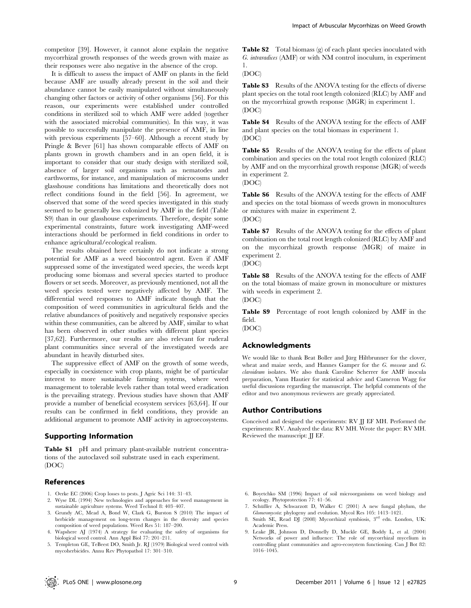competitor [39]. However, it cannot alone explain the negative mycorrhizal growth responses of the weeds grown with maize as their responses were also negative in the absence of the crop.

It is difficult to assess the impact of AMF on plants in the field because AMF are usually already present in the soil and their abundance cannot be easily manipulated without simultaneously changing other factors or activity of other organisms [56]. For this reason, our experiments were established under controlled conditions in sterilized soil to which AMF were added (together with the associated microbial communities). In this way, it was possible to successfully manipulate the presence of AMF, in line with previous experiments [57–60]. Although a recent study by Pringle & Bever [61] has shown comparable effects of AMF on plants grown in growth chambers and in an open field, it is important to consider that our study design with sterilized soil, absence of larger soil organisms such as nematodes and earthworms, for instance, and manipulation of microcosms under glasshouse conditions has limitations and theoretically does not reflect conditions found in the field [56]. In agreement, we observed that some of the weed species investigated in this study seemed to be generally less colonized by AMF in the field (Table S9) than in our glasshouse experiments. Therefore, despite some experimental constraints, future work investigating AMF-weed interactions should be performed in field conditions in order to enhance agricultural/ecological realism.

The results obtained here certainly do not indicate a strong potential for AMF as a weed biocontrol agent. Even if AMF suppressed some of the investigated weed species, the weeds kept producing some biomass and several species started to produce flowers or set seeds. Moreover, as previously mentioned, not all the weed species tested were negatively affected by AMF. The differential weed responses to AMF indicate though that the composition of weed communities in agricultural fields and the relative abundances of positively and negatively responsive species within these communities, can be altered by AMF, similar to what has been observed in other studies with different plant species [37,62]. Furthermore, our results are also relevant for ruderal plant communities since several of the investigated weeds are abundant in heavily disturbed sites.

The suppressive effect of AMF on the growth of some weeds, especially in coexistence with crop plants, might be of particular interest to more sustainable farming systems, where weed management to tolerable levels rather than total weed eradication is the prevailing strategy. Previous studies have shown that AMF provide a number of beneficial ecosystem services [63,64]. If our results can be confirmed in field conditions, they provide an additional argument to promote AMF activity in agroecosystems.

#### Supporting Information

Table S1 pH and primary plant-available nutrient concentrations of the autoclaved soil substrate used in each experiment. (DOC)

#### References

- 1. Oerke EC (2006) Crop losses to pests. J Agric Sci 144: 31–43.
- 2. Wyse DL (1994) New technologies and approaches for weed management in sustainable agriculture systems. Weed Technol 8: 403–407.
- 3. Grundy AC, Mead A, Bond W, Clark G, Burston S (2010) The impact of herbicide management on long-term changes in the diversity and species composition of weed populations. Weed Res 51: 187–200.
- 4. Wapshere AJ (1974) A strategy for evaluating the safety of organisms for biological weed control. Ann Appl Biol 77: 201–211.
- 5. Templeton GE, TeBeest DO, Smith Jr. RJ (1979) Biological weed control with mycoherbicides. Annu Rev Phytopathol 17: 301–310.

Table S2 Total biomass (g) of each plant species inoculated with G. intraradices (AMF) or with NM control inoculum, in experiment 1.

#### (DOC)

Table S3 Results of the ANOVA testing for the effects of diverse plant species on the total root length colonized (RLC) by AMF and on the mycorrhizal growth response (MGR) in experiment 1. (DOC)

Table S4 Results of the ANOVA testing for the effects of AMF and plant species on the total biomass in experiment 1. (DOC)

Table S5 Results of the ANOVA testing for the effects of plant combination and species on the total root length colonized (RLC) by AMF and on the mycorrhizal growth response (MGR) of weeds in experiment 2.

(DOC)

Table S6 Results of the ANOVA testing for the effects of AMF and species on the total biomass of weeds grown in monocultures or mixtures with maize in experiment 2. (DOC)

Table S7 Results of the ANOVA testing for the effects of plant combination on the total root length colonized (RLC) by AMF and on the mycorrhizal growth response (MGR) of maize in experiment 2.

(DOC)

Table S8 Results of the ANOVA testing for the effects of AMF on the total biomass of maize grown in monoculture or mixtures with weeds in experiment 2. (DOC)

Table S9 Percentage of root length colonized by AMF in the field.

(DOC)

#### Acknowledgments

We would like to thank Beat Boller and Jürg Hiltbrunner for the clover, wheat and maize seeds, and Hannes Gamper for the G. mosseae and G. claroideum isolates. We also thank Caroline Scherrer for AMF inocula preparation, Yann Hautier for statistical advice and Cameron Wagg for useful discussions regarding the manuscript. The helpful comments of the editor and two anonymous reviewers are greatly appreciated.

#### Author Contributions

Conceived and designed the experiments: RV JJ EF MH. Performed the experiments: RV. Analyzed the data: RV MH. Wrote the paper: RV MH. Reviewed the manuscript: JJ EF.

- 6. Boyetchko SM (1996) Impact of soil microorganisms on weed biology and ecology. Phytoprotection 77: 41–56.
- 7. Schüßler A, Schwarzott D, Walker C (2001) A new fungal phylum, the Glomeromycota: phylogeny and evolution. Mycol Res 105: 1413–1421.
- 8. Smith SE, Read DJ (2008) Mycorrhizal symbiosis, 3rd edn. London, UK: Academic Press.
- 9. Leake JR, Johnson D, Donnelly D, Muckle GE, Boddy L, et al. (2004) Networks of power and influence: The role of mycorrhizal mycelium in controlling plant communities and agro-ecosystem functioning. Can J Bot 82: 1016–1045.